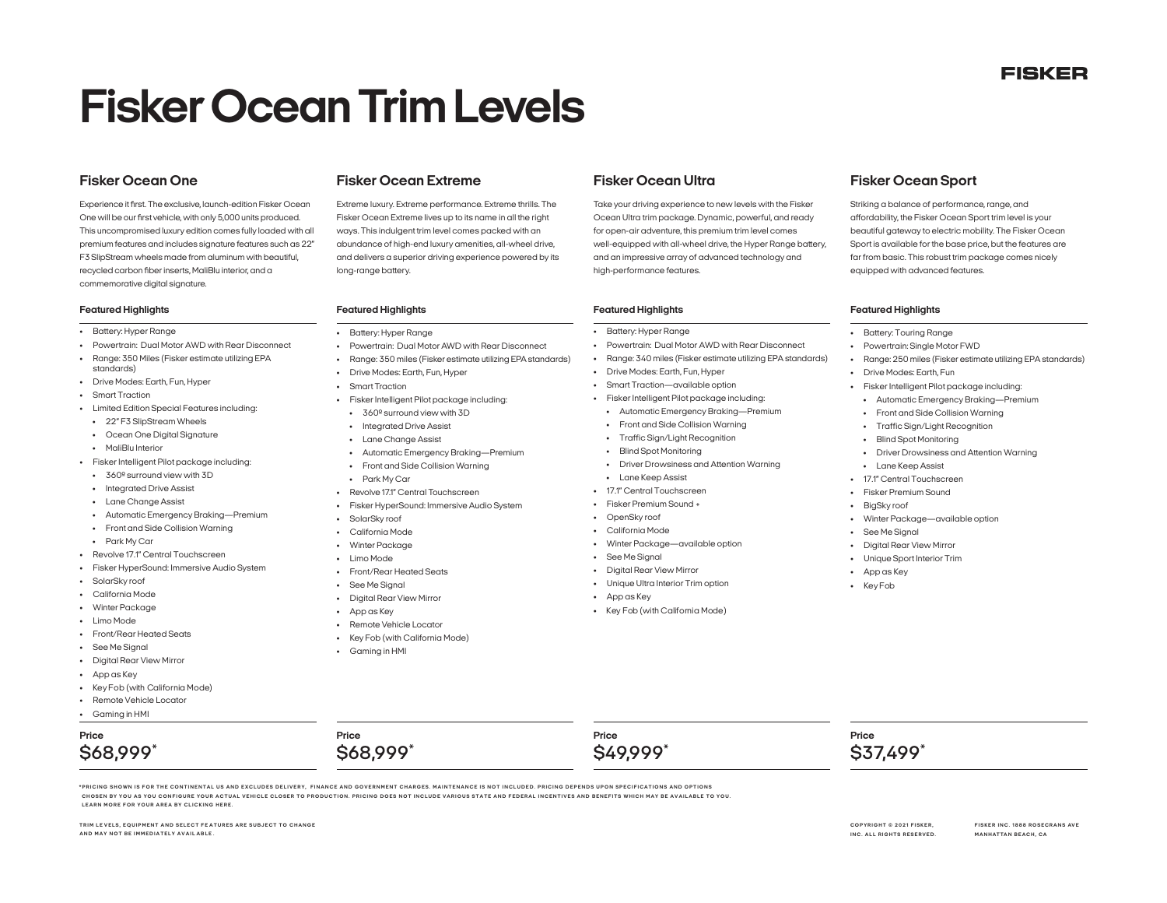# **FISKER**

# **Fisker Ocean Trim Levels**

Experience it first. The exclusive, launch-edition Fisker Ocean One will be our first vehicle, with only 5,000 units produced. This uncompromised luxury edition comes fully loaded with all premium features and includes signature features such as 22" F3 SlipStream wheels made from aluminum with beautiful, recycled carbon fiber inserts, MaliBlu interior, and a commemorative digital signature.

- Battery: Hyper Range
- Powertrain: Dual Motor AWD with Rear Disconnect
- Range: 350 Miles (Fisker estimate utilizing EPA standards)
- Drive Modes: Earth, Fun, Hyper
- Smart Traction
- Limited Edition Special Features including:
- 22" F3 SlipStream Wheels
- Ocean One Digital Signature
- MaliBlu Interior
- Fisker Intelligent Pilot package including:
- 360º surround view with 3D
- Integrated Drive Assist
- Lane Change Assist
- Automatic Emergency Braking—Premium
- Front and Side Collision Warning
- Park My Car
- Revolve 17.1" Central Touchscreen
- Fisker HyperSound: Immersive Audio System
- SolarSky roof
- California Mode
- Winter Package
- Limo Mode
- Front/Rear Heated Seats
- See Me Signal
- Digital Rear View Mirror
- App as Key
- Key Fob (with California Mode)

**AND MAY NOT BE IMMEDIATELY AVAIL ABLE .**

• Remote Vehicle Locator

**TRIM LE VELS, EQUIPMENT AND SELECT FE ATURES ARE SUBJECT TO CHANGE** 

• Gaming in HMI

**\$68,999\***

**Price**

Extreme luxury. Extreme performance. Extreme thrills. The Fisker Ocean Extreme lives up to its name in all the right ways. This indulgent trim level comes packed with an abundance of high-end luxury amenities, all-wheel drive, and delivers a superior driving experience powered by its long-range battery.

# **Featured Highlights Featured Highlights Featured Highlights Featured Highlights**

- Battery: Hyper Range
- Powertrain: Dual Motor AWD with Rear Disconnect
- Range: 350 miles (Fisker estimate utilizing EPA standards)
- Drive Modes: Earth, Fun, Hyper
- Smart Traction
- Fisker Intelligent Pilot package including:
- 360º surround view with 3D
- Integrated Drive Assist
- Lane Change Assist
- Automatic Emergency Braking—Premium
- Front and Side Collision Warning
- Park My Car
- Revolve 17.1" Central Touchscreen
- Fisker HyperSound: Immersive Audio System
- SolarSky roof
- California Mode
- Winter Package
- Limo Mode
- Front/Rear Heated Seats
- See Me Signal
- Digital Rear View Mirror • App as Key
- Remote Vehicle Locator
- 
- Key Fob (with California Mode)

\*PRICING SHOWN IS FOR THE CONTINENTAL US AND EXCLUDES DELIVERY, FINANCE AND GOVERNMENT CHARGES. MAINTENANCE IS NOT INCLUDED. PRICING DEPENDS UPON SPECIFICATIONS AND OPTIONS<br>CHOSEN BY YOU AS YOU CONFIGURE YOUR ACTUAL VEHICL

• Gaming in HMI

**\$68,999\***

**Price**

Take your driving experience to new levels with the Fisker Ocean Ultra trim package. Dynamic, powerful, and ready for open-air adventure, this premium trim level comes well-equipped with all-wheel drive, the Hyper Range battery, and an impressive array of advanced technology and high-performance features.

- Battery: Hyper Range
- Powertrain: Dual Motor AWD with Rear Disconnect
- Range: 340 miles (Fisker estimate utilizing EPA standards)
- Drive Modes: Earth, Fun, Hyper
- Smart Traction—available option
- Fisker Intelligent Pilot package including:
- Automatic Emergency Braking—Premium
- Front and Side Collision Warning
- Traffic Sign/Light Recognition
- Blind Spot Monitoring
- Driver Drowsiness and Attention Warning
- Lane Keep Assist
- 17.1" Central Touchscreen
- Fisker Premium Sound +
- OpenSky roof
- California Mode

**Price**

**\$49,999\***

- Winter Package—available option
- See Me Signal
- Digital Rear View Mirror
- Unique Ultra Interior Trim option
- App as Key
- Key Fob (with California Mode)

# **Fisker Ocean One Fisker Ocean Extreme Fisker Ocean Ultra Fisker Ocean Sport**

Striking a balance of performance, range, and affordability, the Fisker Ocean Sport trim level is your beautiful gateway to electric mobility. The Fisker Ocean Sport is available for the base price, but the features are far from basic. This robust trim package comes nicely equipped with advanced features.

- Battery: Touring Range
- Powertrain: Single Motor FWD
- Range: 250 miles (Fisker estimate utilizing EPA standards)
- Drive Modes: Earth, Fun
- Fisker Intelligent Pilot package including:
- Automatic Emergency Braking—Premium
- Front and Side Collision Warning
- Traffic Sign/Light Recognition

• Winter Package—available option

• Blind Spot Monitoring • Lane Keep Assist

• 17.1" Central Touchscreen • Fisker Premium Sound **BigSky** roof

• See Me Sianal • Digital Rear View Mirror • Unique Sport Interior Trim

• App as Key • Key Fob

**Price**

**\$37,499\***

**COPYRIGHT © 2021 FISKER , INC. ALL RIGHTS RESERVED.** **FISKER INC. 1888 ROSECRANS AVE MANHATTAN BEACH, CA** 

• Driver Drowsiness and Attention Warning